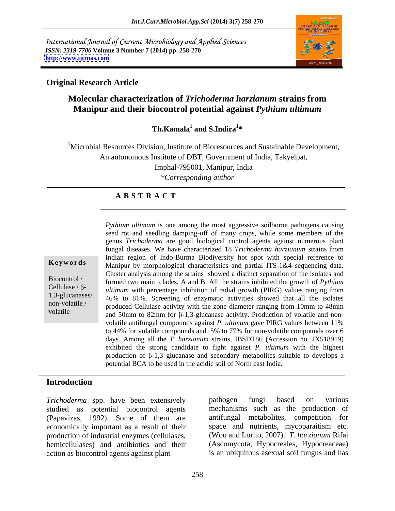International Journal of Current Microbiology and Applied Sciences *ISSN: 2319-7706* **Volume 3 Number 7 (2014) pp. 258-270 <http://www.ijcmas.com>**



## **Original Research Article**

# **Molecular characterization of** *Trichoderma harzianum* **strains from Manipur and their biocontrol potential against** *Pythium ultimum*

**Th.Kamala<sup>1</sup> and S.Indira<sup>1\*</sup> and S.Indira<sup>1</sup> \***

<sup>1</sup>Microbial Resources Division, Institute of Bioresources and Sustainable Development, An autonomous Institute of DBT, Government of India, Takyelpat, Imphal-795001, Manipur, India

*\*Corresponding author*

# **A B S T R A C T**

**Keywords** Manipur by morphological characteristics and partial ITS-1&4 sequencing data. Biocontrol / formed two main clades, A and B. All thestrains inhibited the growth of *Pythium*  Cellulase  $/ \beta$ -<br>*ultimum* with percentage inhibition of radial growth (PIRG) values ranging from 1,3-glucanases/ 46% to 81%. Screening of enzymatic activities showed that all the isolates non-volatile / produced Cellulase activity with the zone diameter ranging from 10mm to 48mm volatile and 50mm to 82mm for  $\beta$ -1,3-glucanase activity. Production of volatile and non-*Pythium ultimum* is one among the most aggressive soilborne pathogens causing seed rot and seedling damping-off of many crops, while some members of the genus *Trichoderma* are good biological control agents against numerous plant fungal diseases. We have characterized 18 *Trichoderma harzianum* strains from Indian region of Indo-Burma Biodiversity hot spot with special reference to Cluster analysis among the srtains showed a distinct separation of the isolates and volatile antifungal compounds against *P. ultimum* gave PIRG values between 11% to 44% for volatile compounds and 5% to 77% for non-volatile compounds over 6 days. Among all the *T. harzianum* strains, IBSDT86 (Accession no. JX518919) exhibited the strong candidate to fight against *P. ultimum* with the highest production of  $\beta$ -1,3 glucanase and secondary metabolites suitable to develops a potential BCA to be used in the acidic soil of North east India.

# **Introduction**

*Trichoderma* spp. have been extensively pathogen fungi based on various studied as potential biocontrol agents (Papavizas, 1992). Some of them are economically important as a result of their production of industrial enzymes (cellulases, hemicellulases) and antibiotics and their action as biocontrol agents against plant

pathogen fungi based on various mechanisms such as the production of antifungal metabolites, competition for space and nutrients, mycoparaitism etc. (Woo and Lorito, 2007). *T. harzianum* Rifai (Ascomycota, Hypocreales, Hypocreaceae) is an ubiquitous asexual soil fungus and has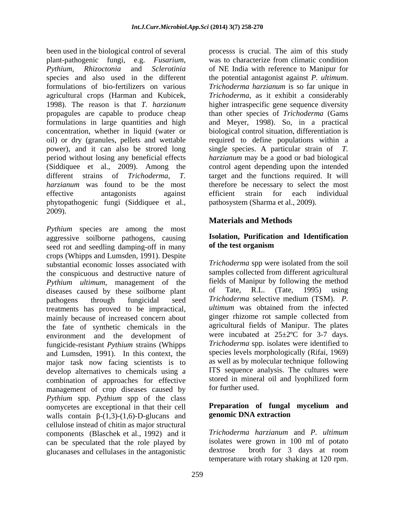been used in the biological control of several processs is crucial. The aim of this study plant-pathogenic fungi, e.g. *Fusarium*, was to characterize from climatic condition *Pythium*, *Rhizoctonia* and *Sclerotinia* of NE India with reference to Manipur for species and also used in the different the potential antagonist against *P. ultimum*. formulations of bio-fertilizers on various *Trichoderma harzianum* is so far unique in agricultural crops (Harman and Kubicek, 1998). The reason is that *T. harzianum* higher intraspecific gene sequence diversity propagules are capable to produce cheap than other species of *Trichoderma* (Gams formulations in large quantities and high and Meyer, 1998). So, in a practical concentration, whether in liquid (water or biological control situation, differentiation is oil) or dry (granules, pellets and wettable required to define populations within a power), and it can also be strored long single species. A particular strain of *T.*  period without losing any beneficial effects *harzianum* may be a good or bad biological (Siddiquee et al., 2009). Among the control agent depending upon the intended different strains of *Trichoderma*, *T.*  target and the functions required. It will harzianum was found to be the most therefore be necessary to select the most effective antagonists against efficient strain for each individual phytopathogenic fungi (Siddiquee et al., 2009).

*Pythium* species are among the most aggressive soilborne pathogens, causing **Isolation, Purification**<br>seed rot and seedling damning-off in many **of the test organism** seed rot and seedling damping-off in many crops (Whipps and Lumsden, 1991). Despite substantial economic losses associated with the conspicuous and destructive nature of *Pythium ultimum*, management of the fields of Manipur by following the method diseases caused by these soilborne plant of Tate, R.L. (Tate, 1995) using diseases caused by these soilborne plant pathogens through fungicidal seed *Trichoderma* selective medium (TSM). *P.*  treatments has proved to be impractical, *ultimum* was obtained from the infected mainly because of increased concern about ginger rhizome rot sample collected from mainly because of increased concern about the fate of synthetic chemicals in the environment and the development of fungicide-resistant *Pythium* strains (Whipps and Lumsden, 1991). In this context, the major task now facing scientists is to develop alternatives to chemicals using a combination of approaches for effective stored in mineral<br>management of crop diseases caused by for further used. management of crop diseases caused by *Pythium* spp. *Pythium* spp of the class oomycetes are exceptional in that their cell<br>walls contain  $\beta$ -(1.3)-(1.6)-D-glucans and **genomic DNA extraction** walls contain  $\beta$ -(1,3)-(1,6)-D-glucans and cellulose instead of chitin as major structural components (Blaschek et al., 1992) and it can be speculated that the role played by isolates were grown in 100 ml of potato olucanases and cellulases in the antagonistic dextrose broth for 3 days at room glucanases and cellulases in the antagonistic

*Trichoderma,* as it exhibit a considerably efficient strain for each individual pathosystem (Sharma et al., 2009).

# **Materials and Methods**

## **Isolation, Purification and Identification of the test organism**

*Trichoderma* spp were isolated from the soil samples collected from different agricultural fields of Manipur by following the method of Tate, R.L. (Tate, 1995) using *ultimum* was obtained from the infected ginger rhizome rot sample collected from agricultural fields of Manipur. The plates were incubated at  $25 \pm 2$ °C for 3-7 days. *Trichoderma* spp. isolates were identified to species levels morphologically (Rifai, 1969) as well as by molecular technique following ITS sequence analysis. The cultures were stored in mineral oil and lyophilized form for further used.

## **Preparation of fungal mycelium and genomic DNA extraction**

*Trichoderma harzianum* and *P. ultimum* isolates were grown in 100 ml of potato dextrose broth for 3 days at room temperature with rotary shaking at 120 rpm.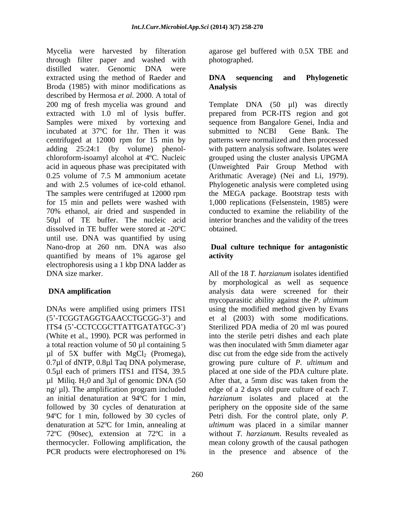Mycelia were harvested by filteration agarose gel buffered with 0.5X TBE and through filter paper and washed with distilled water. Genomic DNA were extracted using the method of Raeder and **DNA** sequencing and Phylogenetic Broda (1985) with minor modifications as **Analysis** described by Hermosa *et al*. 2000. A total of 200 mg of fresh mycelia was ground and Template DNA (50 µl) was directly extracted with 1.0 ml of lysis buffer. prepared from PCR-ITS region and got Samples were mixed by vortexing and sequence from Bangalore Genei, India and incubated at 37ºC for 1hr. Then it was centrifuged at 12000 rpm for 15 min by adding 25:24:1 (by volume) phenol- with pattern analysis software. Isolates were chloroform-isoamyl alcohol at 4ºC. Nucleic grouped using the cluster analysis UPGMA acid in aqueous phase was precipitated with (Unweighted Pair Group Method with 0.25 volume of 7.5 M ammonium acetate Arithmatic Average) (Nei and Li, 1979). and with 2.5 volumes of ice-cold ethanol. Phylogenetic analysis were completed using The samples were centrifuged at 12000 rpm the MEGA package. Bootstrap tests with for 15 min and pellets were washed with 1,000 replications (Felsenstein, 1985) were 70% ethanol, air dried and suspended in conducted to examine the reliability of the 50µl of TE buffer. The nucleic acid interior branches and the validity of the trees dissolved in TE buffer were stored at -20ºC until use. DNA was quantified by using Nano-drop at 260 nm. DNA was also quantified by means of 1% agarose gel electrophoresis using a 1 kbp DNA ladder as DNA size marker. All of the 18 *T. harzianum* isolates identified

 $\mu$ l of 5X buffer with MgCl<sub>2</sub> (Promega), 0.7 $\mu$ l of dNTP, 0.8 $\mu$ l Taq DNA polymerase,  $\mu$ l Miliq. H<sub>2</sub>0 and 3 $\mu$ l of genomic DNA (50) After that, a 5mm disc was taken from the denaturation at 52ºC for 1min, annealing at PCR products were electrophoresed on 1% in the presence and absence of the

photographed.

## **DNA sequencing and Phylogenetic Analysis**

submitted to NCBI Gene Bank. The patterns were normalized and then processed Arithmatic Average) (Nei and Li, 1979). obtained.

## **Dual culture technique for antagonistic activity**

**DNA amplification** analysis data were screened for their DNAs were amplified using primers ITS1 using the modified method given by Evans (5 -TCGGTAGGTGAACCTGCGG-3 ) and et al (2003) with some modifications. ITS4 (5 -CCTCCGCTTATTGATATGC-3 ) Sterilized PDA media of 20 ml was poured (White et al., 1990). PCR was performed in into the sterile petri dishes and each plate a total reaction volume of 50 µl containing 5 was then inoculated with 5mm diameter agar 0.7µl of dNTP, 0.8µl Taq DNA polymerase, growing pure culture of *P. ultimum* and 0.5µl each of primers ITS1 and ITS4, 39.5 placed at one side of the PDA culture plate. ng/ µl). The amplification program included edge of a 2 days old pure culture of each *T.*  an initial denaturation at 94ºC for 1 min, *harzianum* isolates and placed at the followed by 30 cycles of denaturation at periphery on the opposite side of the same 94ºC for 1 min, followed by 30 cycles of Petri dish. For the control plate, only *P.*  72ºC (90sec), extension at 72ºC in a without *T. harzianum*. Results revealed as thermocycler. Following amplification, the mean colony growth of the causal pathogen by morphological as well as sequence mycoparasitic ability against the *P. ultimum* disc cut from the edge side from the actively After that, a 5mm disc was taken from the *ultimum* was placed in a similar manner in the presence and absence of the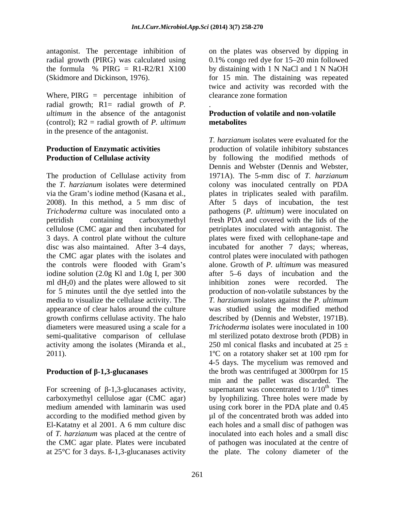antagonist. The percentage inhibition of

Where, PIRG = percentage inhibition of clearance zone formation radial growth; R1= radial growth of *P. ultimum* in the absence of the antagonist (control); R2 = radial growth of *P. ultimum* in the presence of the antagonist.

The production of Cellulase activity from 1971A). The 5-mm disc of T. hargianum via the Gram's iodine method (Kasana et al.,  $\qquad$  plates in triplicates sealed with parafilm. 2008). In this method, a 5 mm disc of disc was also maintained. After 3-4 days, ml  $dH_2$ 0) and the plates were allowed to sit<br>for 5 minutes until the dye settled into the growth confirms cellulase activity. The halo diameters were measured using a scale for a semi-qualitative comparison of cellulase activity among the isolates (Miranda et al.,

El-Katatny et al 2001. A 6 mm culture disc at 25°C for 3 days. ß-1,3-glucanases activity the plate. The colony diameter of the

radial growth (PIRG) was calculated using  $0.1\%$  congo red dye for 15–20 min followed the formula % PIRG = R1-R2/R1 X100 by distaining with 1 N NaCl and 1 N NaOH (Skidmore and Dickinson, 1976). for 15 min. The distaining was repeated on the plates was observed by dipping in twice and activity was recorded with the clearance zone formation

### .**Production of volatile and non-volatile metabolites**

**Production of Enzymatic activities production of volatile inhibitory substances Production of Cellulase activity** by following the modified methods of the *T. harzianum* isolates were determined colony was inoculated centrally on PDA *Trichoderma* culture was inoculated onto a pathogens (*P. ultimum*) were inoculated on petridish containing carboxymethyl fresh PDA and covered with the lids of the cellulose (CMC agar and then incubated for petriplates inoculated with antagonist. The 3 days. A control plate without the culture plates were fixed with cellophane-tape and the CMC agar plates with the isolates and control plates were inoculated with pathogen the controls were flooded with Gram's alone. Growth of *P. ultimum* was measured iodine solution (2.0g Kl and 1.0g I, per 300 after 5–6 days of incubation and the for 5 minutes until the dye settled into the production of non-volatile substances by the media to visualize the cellulase activity. The *T. harzianum* isolates against the *P. ultimum* appearance of clear halos around the culture was studied using the modified method 2011).  $1^{\circ}$ C on a rotatory shaker set at 100 rpm for **Production of β-1,3-glucanases** the broth was centrifuged at 3000rpm for 15 For screening of  $\beta$ -1,3-glucanases activity, supernatant was concentrated to 1/10<sup>th</sup> times carboxymethyl cellulose agar (CMC agar) by lyophilizing. Three holes were made by medium amended with laminarin was used using cork borer in the PDA plate and 0.45 according to the modified method given by  $\mu$  of the concentrated broth was added into of *T. harzianum* was placed at the centre of inoculated into each holes and a small disc the CMC agar plate. Plates were incubated of pathogen was inoculated at the centre of *T. harzianum* isolates were evaluated for the Dennis and Webster (Dennis and Webster, 1971A). The 5-mm disc of *T. harzianum* plates in triplicates sealed with parafilm. After <sup>5</sup> days of incubation, the test incubated for another 7 days; whereas, inhibition zones were recorded. The described by (Dennis and Webster, 1971B). *Trichoderma* isolates were inoculated in 100 ml sterilized potato dextrose broth (PDB) in 250 ml conical flasks and incubated at  $25 \pm$ 4-5 days. The mycelium was removed and min and the pallet was discarded. The <sup>th</sup> times each holes and a small disc of pathogen was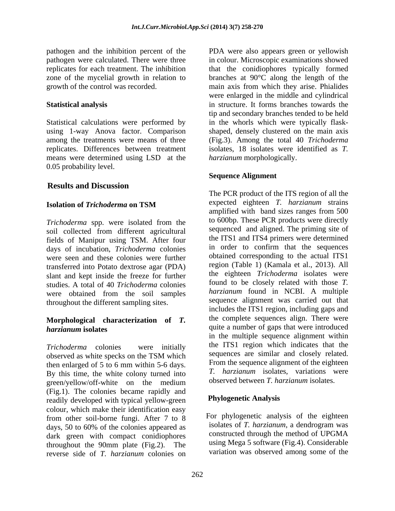pathogen and the inhibition percent of the PDA were also appears green or yellowish pathogen were calculated. There were three in colour. Microscopic examinations showed replicates for each treatment. The inhibition that the conidiophores typically formed zone of the mycelial growth in relation to branches at 90°C along the length of the

Statistical calculations were performed by in the whorls which were typically flask using 1-way Anova factor. Comparison shaped, densely clustered on the main axis among the treatments were means of three (Fig.3). Among the total 40 *Trichoderma* replicates. Differences between treatment means were determined using LSD at the 0.05 probability level.

## **Results and Discussion**

*Trichoderma* spp. were isolated from the soil collected from different agricultural fields of Manipur using TSM. After four<br>days of inquisition Trichoderma colonies in order to confirm that the sequences days of incubation, *Trichoderma* colonies were seen and these colonies were further transferred into Potato dextrose agar (PDA) slant and kept inside the freeze for further studies. A total of 40 *Trichoderma* colonies were obtained from the soil samples throughout the different sampling sites.

# **Morphological characterization of** *T.*

then enlarged of 5 to 6 mm within 5-6 days. By this time, the white colony turned into green/yellow/off-white on the medium (Fig.1). The colonies became rapidly and readily developed with typical yellow-green colour, which make their identification easy from other soil-borne fungi. After 7 to 8 days, 50 to 60% of the colonies appeared as dark green with compact conidiophores reverse side of *T. harzianum* colonies on

growth of the control was recorded. main axis from which they arise. Phialides **Statistical analysis** in structure. It forms branches towards the were enlarged in the middle and cylindrical tip and secondary branches tended to be held isolates, 18 isolates were identified as *T. harzianum* morphologically.

## **Sequence Alignment**

**Isolation of** *Trichoderma* **on TSM** expected eighteen *I*. *harzianum* strains *harzianum* isolates *harzianum* isolates *harzianum* isolates *n Trichoderma* colonies were initially the ITS1 region which indicates that the observed as white specks on the TSM which sequences are similar and closely related. The PCR product of the ITS region of all the expected eighteen *T. harzianum* strains amplified with band sizes ranges from 500 to 600bp. These PCR products were directly sequenced and aligned. The priming site of the ITS1 and ITS4 primers were determined in order to confirm that the sequences obtained corresponding to the actual ITS1 region (Table 1) (Kamala et al., 2013). All the eighteen *Trichoderma* isolates were found to be closely related with those *T. harzianum* found in NCBI. A multiple sequence alignment was carried out that includes the ITS1 region, including gaps and the complete sequences align. There were in the multiple sequence alignment within sequences are similar and closely related. From the sequence alignment of the eighteen *T. harzianum* isolates, variations were observed between *T. harzianum* isolates.

## **Phylogenetic Analysis**

throughout the 90mm plate (Fig.2). The using Mega 5 software (Fig.4). Considerable For phylogenetic analysis of the eighteen isolates of *T. harzianum*, a dendrogram was constructed through the method of UPGMA using Mega 5 software (Fig.4). Considerable variation was observed among some of the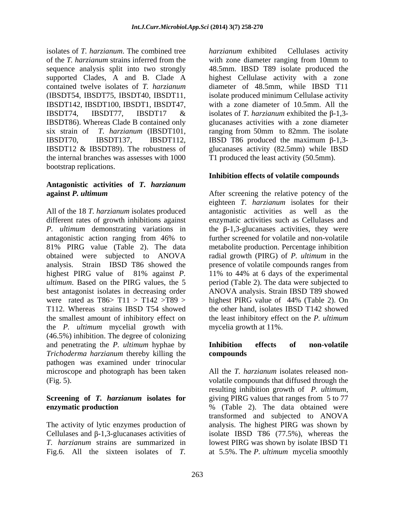isolates of *T. harzianum*. The combined tree of the *T. harzianum* strains inferred from the with zone diameter ranging from 10mm to sequence analysis split into two strongly 48.5mm. IBSD T89 isolate produced the supported Clades, A and B. Clade A highest Cellulase activity with a zone contained twelve isolates of *T. harzianum* diameter of 48.5mm, while IBSD T11 (IBSDT54, IBSDT75, IBSDT40, IBSDT11, isolate produced minimum Cellulase activity IBSDT142, IBSDT100, IBSDT1, IBSDT47, with a zone diameter of 10.5mm. All the IBSDT74, IBSDT77, IBSDT17 & isolates of *T. harzianum* exhibited the  $\beta$ -1,3-IBSDT86). Whereas Clade B contained only glucanases activities with a zone diameter six strain of *T. harzianum* (IBSDT101, ranging from 50mm to 82mm. The isolate IBSDT70, IBSDT137, IBSDT112, IBSD T86 produced the maximum  $\beta$ -1,3-IBSDT12 & IBSDT89). The robustness of glucanases activity (82.5mm) while IBSD the internal branches was assesses with 1000 bootstrap replications.

# **Antagonistic activities of** *T. harzianum*

All of the 18 *T. harzianum* isolates produced different rates of growth inhibitions against enzymatic activities such as Cellulases and *P. ultimum* demonstrating variations in the  $\beta$ -1,3-glucanases activities, they were antagonistic action ranging from 46% to 81% PIRG value (Table 2). The data metabolite production. Percentage inhibition obtained were subjected to ANOVA radial growth (PIRG) of *P. ultimum* in the analysis. Strain IBSD T86 showed the presence of volatile compoundsranges from highest PIRG value of 81% against *P.*  11% to 44% at 6 days of the experimental *ultimum*. Based on the PIRG values, the 5 period (Table 2). The data were subjected to best antagonist isolates in decreasing order ANOVA analysis. Strain IBSD T89 showed were rated as  $T86 > T11 > T142 > T89 >$  highest PIRG value of 44% (Table 2). On T112. Whereas strains IBSD T54 showed the other hand, isolates IBSD T142 showed the smallest amount of inhibitory effect on the least inhibitory effect on the *P. ultimum* the *P. ultimum* mycelial growth with (46.5%) inhibition. The degree of colonizing and penetrating the *P. ultimum* hyphae by *Trichoderma harzianum* thereby killing the pathogen was examined under trinocular microscope and photograph has been taken (Fig. 5). volatile compounds that diffused through the

## **Screening of** *T. harzianum* **isolates for enzymatic production**  $\%$  (Table 2). The data obtained were

*harzianum* exhibited Cellulases activity isolates of *T. harzianum* exhibited the  $\beta$ -1,3-T1 produced the least activity (50.5mm).

# **Inhibition effects of volatile compounds**

**against P. ultimum After screening the relative potency of the** eighteen *T. harzianum* isolates for their antagonistic activities as well as the further screened for volatile and non-volatile mycelia growth at 11%.

## **Inhibition effects of non-volatile compounds**

The activity of lytic enzymes production of analysis. The highest PIRG was shown by Cellulases and  $\beta$ -1,3-glucanases activities of isolate IBSD T86 (77.5%), whereas the *T. harzianum* strains are summarized in lowest PIRG was shown by isolate IBSD T1 Fig.6. All the sixteen isolates of *T.*  at 5.5%. The *P. ultimum* mycelia smoothlyAll the *T. harzianum* isolates released non resulting inhibition growth of *P. ultimum*, giving PIRG values that ranges from 5 to 77 % (Table 2). The data obtained were transformed and subjected to ANOVA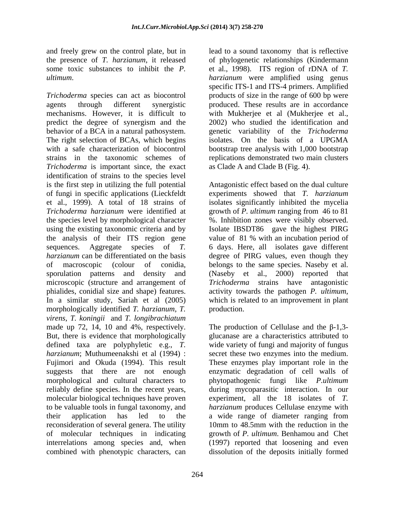*Trichoderma* species can act as biocontrol agents through different synergistic produced. These results are in accordance mechanisms. However, it is difficult to with Mukherjee et al (Mukherjee et al., predict the degree of synergism and the behavior of a BCA in a natural pathosystem. The right selection of BCAs, which begins isolates. On the basis of a UPGMA with a safe characterization of biocontrol bootstrap tree analysis with 1,000 bootstrap strains in the taxonomic schemes of replications demonstrated two main clusters *Trichoderma* is important since, the exact as Clade A and Clade B (Fig. 4). identification of strains to the species level is the first step in utilizing the full potential Antagonistic effect based on the dual culture of fungi in specific applications (Lieckfeldt experiments showed that *T. harzianum* et al., 1999). A total of 18 strains of isolates significantly inhibited the mycelia *Trichoderma harzianum* were identified at growth of *P. ultimum* ranging from 46 to 81 the species level by morphological character %. Inhibition zones were visibly observed. using the existing taxonomic criteria and by Isolate IBSDT86 gave the highest PIRG the analysis of their ITS region gene value of 81 % with an incubation period of sequences. Aggregate species of *T.*  6 days. Here, all isolates gave different harzianum can be differentiated on the basis degree of PIRG values, even though they of macroscopic (colour of conidia, sporulation patterns and density and (Naseby et al., 2000) reported that microscopic (structure and arrangement of Trichoderma strains have antagonistic phialides, conidial size and shape) features. activity towards the pathogen P. ultimum, In a similar study, Sariah et al (2005) which is related to an improvement in plant morphologically identified *T. harzianum*, *T.* production. *virens*, *T. koningii* and *T. longibrachiatum* made up 72, 14, 10 and 4%, respectively. The production of Cellulase and the  $\beta$ -1,3-But, there is evidence that morphologically defined taxa are polyphyletic e.g., *T.*  wide variety of fungi and majority of fungus *harzianum*; Muthumeenakshi et al (1994) : secret these two enzymes into the medium. Fujimori and Okuda (1994). This result These enzymes play important role in the suggests that there are not enough enzymatic degradation of cell walls of morphological and cultural characters to phytopathogenic fungi like *P.ultimum* reliably define species. In the recent years, during mycoparasitic interaction. In our molecular biological techniques have proven experiment, all the 18 isolates of *T.*  to be valuable tools in fungal taxonomy, and *harzianum* produces Cellulase enzyme with their application has led to the a wide range of diameter ranging from reconsideration of several genera. The utility 10mm to 48.5mm with the reduction in the of molecular techniques in indicating growth of *P. ultimum*. Benhamou and Chet interrelations among species and, when (1997) reported that loosening and even combined with phenotypic characters, can dissolution of the deposits initially formed

and freely grew on the control plate, but in lead to a sound taxonomy that is reflective the presence of *T. harzianum*, it released of phylogenetic relationships (Kindermann some toxic substances to inhibit the *P*. et al., 1998). ITS region of rDNA of *T*. *ultimum*. *harzianum* were amplified using genus specific ITS-1 and ITS-4 primers. Amplified products of size in the range of 600 bp were 2002) who studied the identification and genetic variability of the *Trichoderma* as Clade A and Clade B (Fig. 4).

> belongs to the same species. Naseby et al.<br>(Naseby et al., 2000) reported that activity towards the pathogen *P. ultimum*, which is related to an improvement in plant production.

glucanase are a characteristics attributed to a wide range of diameter ranging from 10mm to 48.5mm with the reduction in the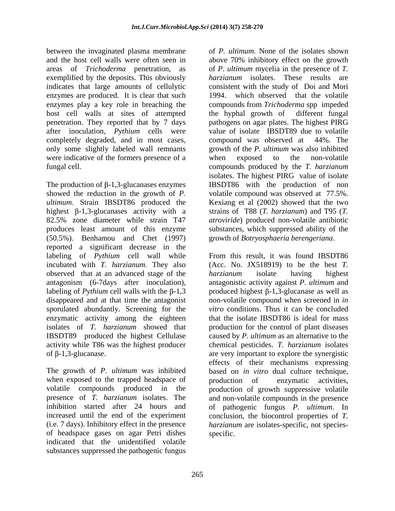between the invaginated plasma membrane indicates that large amounts of cellulytic enzymes are produced. It is clear that such 1994. host cell walls at sites of attempted completely degraded, and in most cases, compound was observed at 44%. The only some slightly labeled wall remnants were indicative of the formers presence of a when exposed to the non-volatile

The production of  $\beta$ -1,3-glucanases enzymes IBSDT86 with the production of non showed the reduction in the growth of *P.*  volatile compound was observed at 77.5%. *ultimum*. Strain IBSDT86 produced the Kexiang et al (2002) showed that the two highest β-1,3-glucanases activity with a strains of T88 (*T. harzianum*) and T95 (*T.* 82.5% zone diameter while strain T47 *atroviride*) produced non-volatile antibiotic produces least amount of this enzyme substances, which suppressed ability of the (50.5%). Benhamou and Chet (1997) reported a significant decrease in the labeling of *Pythium* cell wall while From this result, it was found IBSDT86 incubated with *T. harzianum.* They also observed that at an advanced stage of the *harzianum* isolate having highest antagonism (6-7days after inoculation), antagonistic activity against *P. ultimum* and labeling of *Pythium* cell walls with the  $\beta$ -1,3  $\qquad \qquad$  produced highest  $\beta$ -1,3-glucanase as well as disappeared and at that time the antagonist non-volatile compound when screened in *in*  sporulated abundantly. Screening for the *vitro* conditions. Thus it can be concluded enzymatic activity among the eighteen<br>isolates of *T. harzianum* showed that isolates of *T. harzianum* showed that production for the control of plant diseases IBSDT89 produced the highest Cellulase caused by *P. ultimum* as an alternative to the activity while T86 was the highest producer chemical pesticides.*T. harzianum* isolates

The growth of *P. ultimum* was inhibited when exposed to the trapped headspace of production of enzymatic activities, volatile compounds produced in the production of growth suppressive volatile presence of *T. harzianum* isolates. The and non-volatile compounds in the presence inhibition started after 24 hours and of pathogenic fungus *P. ultimum*. In increased until the end of the experiment conclusion, the biocontrol properties of *T.*  (i.e. 7 days). Inhibitory effect in the presence *harzianum* are isolates-specific, not species of headspace gases on agar Petri dishes indicated that the unidentified volatile substances suppressed the pathogenic fungus

and the host cell walls were often seen in above 70% inhibitory effect on the growth areas of *Trichoderma* penetration, as of *P. ultimum* mycelia in the presence of *T.*  exemplified by the deposits. This obviously *harzianum* isolates. These results are enzymes play a key role in breaching the compounds from *Trichoderma* spp impeded penetration. They reported that by 7 days pathogens on agar plates. The highest PIRG after inoculation, *Pythium* cells were value of isolate IBSDT89 due to volatile fungal cell. compounds produced by the *T. harzianum* of *P. ultimum*. None of the isolates shown consistent with the study of Doi and Mori which observed that the volatile the hyphal growth of compound was observed at growth of the *P. ultimum* was also inhibited when exposed to the non-volatile isolates. The highest PIRG value of isolate

of  $\beta$ -1,3-glucanase. The synergistic are very important to explore the synergistic growth of *Botryosphaeria berengeriana*. From this result, it was found IBSDT86 (Acc. No. JX518919) to be the best *T. harzianum* isolate having highest that the isolate IBSDT86 is ideal for mass effects of their mechanisms expressing based on *in vitro* dual culture technique, production of enzymatic activities, specific.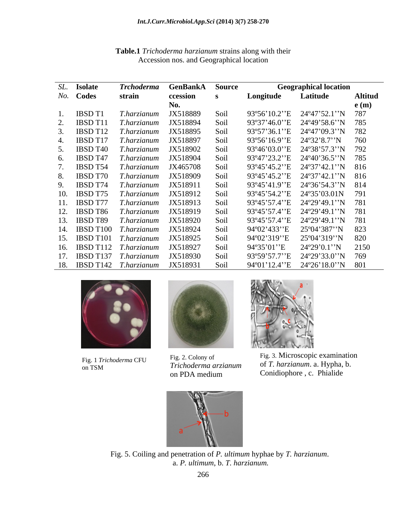| SL. Isolate                 | <i>Trchoderma</i> | GenBankA | <b>Source</b> |                      | <b>Geographical location</b>    |                |
|-----------------------------|-------------------|----------|---------------|----------------------|---------------------------------|----------------|
| No. Codes                   | strain            | ccession |               | Longitude            | Latitude                        | <b>Altitud</b> |
|                             |                   | No.      |               |                      |                                 | e(m)           |
| IBSD T1                     | T.harzianum       | JX518889 | -Soil         |                      | 93°56'10.2"E 24°47'52.1"N 787   |                |
| IBSD T11                    | T.harzianum       | JX518894 | – Soil        |                      | 93°37'46.0"E 24°49'58.6"N 785   |                |
| <b>IBSD T12</b> T.harzianum |                   | JX518895 | – Soil        |                      | 93°57'36.1''E 24°47'09.3''N 782 |                |
| <b>IBSD T17</b> T.harzianum |                   | JX518897 | – Soil        |                      | 93°56'16.9'E 24°32'8.7'N 760    |                |
| IBSD T40                    | T.harzianum       | JX518902 | -Soil         |                      | 93°46'03.0"E 24°38'57.3"N 792   |                |
| IBSD T47                    | T.harzianum       | JX518904 | - Soil        |                      | 93°47'23.2"E 24°40'36.5"N 785   |                |
| IBSD T54                    | T.harzianum       | JX465708 | – Soil        |                      | 93°45'45.2"E 24°37'42.1"N 816   |                |
| <b>IBSD T70</b> T.harzianum |                   | JX518909 | – Soil        |                      | 93°45'45.2"E 24°37'42.1"N 816   |                |
| <b>IBSD T74</b> T.harzianum |                   | JX518911 | – Soil        |                      | 93°45'41.9"E 24°36'54.3"N 814   |                |
| 10. IBSD T75 T.harzianum    |                   | JX518912 | – Soil        |                      | 93°45'54.2"E 24°35'03.01N 791   |                |
| 11. IBSD T77 T.harzianum    |                   | JX518913 | – Soil        |                      | 93°45'57.4"E 24°29'49.1"N 781   |                |
| 12. IBSD T86 T.harzianum    |                   | JX518919 | – Soil        |                      | 93°45'57.4"E 24°29'49.1"N 781   |                |
| 13. IBSD T89 T.harzianum    |                   | JX518920 | – Soil        |                      | 93°45'57.4"E 24°29'49.1"N 781   |                |
| 14. IBSD T100 T.harzianum   |                   | JX518924 | – Soil        | 94°02'433''E         | 25°04'387''N 823                |                |
| 15. IBSD T101 T.harzianum   |                   | JX518925 | Soil          | 94°02'319'E          | 25°04'319''N 820                |                |
| 16. IBSD T112 T.harzianum   |                   | JX518927 | – Soil        | $94^{\circ}35'01''E$ | $24^{\circ}29'0.1''N$ 2150      |                |
| 17. IBSD T137 T.harzianum   |                   | JX518930 | – Soil        |                      | 93°59'57.7''E 24°29'33.0''N 769 |                |
| 18. IBSD T142 T.harzianum   |                   | JX518931 | – Soil        |                      | 94°01'12.4" E 24°26'18.0" N 801 |                |
|                             |                   |          |               |                      |                                 |                |

**Table.1** *Trichoderma harzianum* strains along with their Accession nos. and Geographical location







Fig. 1 *Trichoderma* CFU Fig. 2. Colony of Fig. 3. Microscopic examination on TSM  $I$ richoaerma arzianum  $\sigma$ 1. narzianum a. 119 pila, 0. Fig. 3. Microscopic examination Fig. 2. Colony of of *T. harzianum*. a. Hypha, b. Conidiophore , c. Phialide *Trichoderma arzianum* on PDA medium Conidiophore, c. Phialide



Fig. 5. Coiling and penetration of *P. ultimum* hyphae by *T. harzianum*. a. *P. ultimum*, b. *T. harzianum.*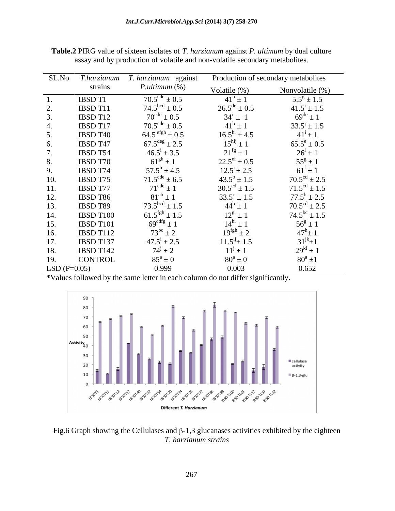| SL.No         | T.harzianum     | T. harzianum against        | Production of secondary metabolites |                            |  |
|---------------|-----------------|-----------------------------|-------------------------------------|----------------------------|--|
|               | strains         | $P.$ ultimum $(\%)$         | Volatile $(\%)$                     | Nonvolatile $(\%)$         |  |
|               | <b>IBSD T1</b>  | $70.5^{\text{cde}} \pm 0.5$ | $41^b \pm 1$                        | $5.5^{\rm g} \pm 1.5$      |  |
| 2.            | IBSD T11        | $74.5bcd \pm 0.5$           | $26.5^{\text{de}} \pm 0.5$          | $41.5^{\rm i} \pm 1.5$     |  |
| 3.            | IBSD T12        | $70^{\rm cde}\pm0.5$        | $34^c \pm 1$                        | $69^{\text{de}} \pm 1$     |  |
| 4.            | IBSD T17        | $70.5^{\text{cde}} \pm 0.5$ | $41^b \pm 1$                        | $33.5^{\rm j} \pm 1.5$     |  |
| 5.            | <b>IBSD T40</b> | $64.5$ efgh $\pm 0.5$       | $16.5^{\text{hi}} \pm 4.5$          | $41^1 \pm 1$               |  |
| 6.            | IBSD T47        | $67.5^{\text{deg}} \pm 2.5$ | $15^{\text{hij}} \pm 1$             | $65.5^e \pm 0.5$           |  |
| 7.            | IBSD T54        | $46.5^{\rm i} \pm 3.5$      | $21^{fg} \pm 1$                     | $26^{1} \pm 1$             |  |
| 8.            | <b>IBSD T70</b> | $61^{gh} \pm 1$             | $22.5^{\text{ef}} \pm 0.5$          | $55^{\rm g} \pm 1$         |  |
| 9.            | IBSD T74        | $57.5^{\rm h} \pm 4.5$      | $12.5^{\rm i} \pm 2.5$              | $61^f \pm 1$               |  |
| 10.           | IBSD T75        | $71.5^{\text{cde}} \pm 6.5$ | $43.5^b \pm 1.5$                    | $70.5^{\text{cd}} \pm 2.5$ |  |
| 11.           | <b>IBSD T77</b> | $71^{\text{cde}} \pm 1$     | $30.5^{\text{cd}} \pm 1.5$          | $71.5^{\text{cd}} \pm 1.5$ |  |
| 12.           | IBSD T86        | $81^{ab} \pm 1$             | $33.5^{\circ} \pm 1.5$              | $77.5^b \pm 2.5$           |  |
| 13.           | IBSD T89        | $73.5^{bcd} \pm 1.5$        | $44^b \pm 1$                        | $70.5^{\text{cd}} \pm 2.5$ |  |
| 14.           | IBSD T100       | $61.5^{\text{fgh}} \pm 1.5$ | $12^{g_1} \pm 1$                    | $74.5^{bc} \pm 1.5$        |  |
| 15.           | IBSD T101       | $69^{\text{cdfg}} \pm 1$    | $14^{hi} \pm 1$                     | $56^{\circ} \pm 1$         |  |
| 16.           | IBSD T112       | $73^{bc} \pm 2$             | $19^{\text{fgh}} \pm 2$             | $47^{\rm h}_{\pm}$ 1       |  |
| 17.           | IBSD T137       | $47.5^{\rm i} \pm 2.5$      | $11.5^{ij}$ ± 1.5                   | $31^{jk}+1$                |  |
| 18.           | IBSD T142       | $74^{j} \pm 2$              | $11^{j} \pm 1$                      | $29^{kl} \pm 1$            |  |
| 19.           | <b>CONTROL</b>  | $85^a \pm 0$                | $80^a \pm 0$                        | $80^a \pm 1$               |  |
| $LSD(P=0.05)$ |                 | 0.999                       | 0.003                               | 0.652                      |  |

**Table.2** PIRG value of sixteen isolates of *T. harzianum* against *P. ultimum* by dual culture assay and by production of volatile and non-volatile secondary metabolites.

**\***Values followed by the same letter in each column do not differ significantly.



Fig.6 Graph showing the Cellulases and  $\beta$ -1,3 glucanases activities exhibited by the eighteen *T. harzianum strains*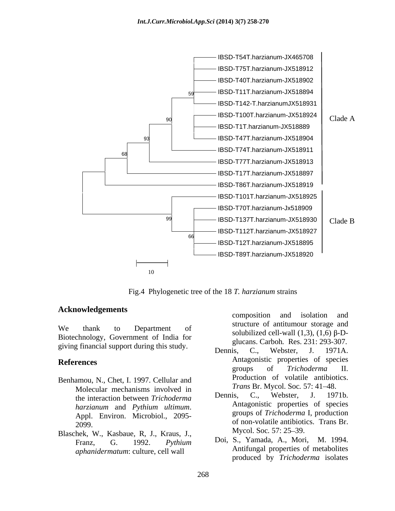

Fig.4 Phylogenetic tree of the 18 *T. harzianum* strains

## **Acknowledgements**

We thank to Department of  $\frac{\text{square or antimomial storage and}}{\text{colubilized cell well (1.2) (1.6) R}}$ Biotechnology, Government of India for giving financial support during this study.<br>Dennis, C., Webster, J. 1971A.

- Benhamou, N., Chet, I. 1997. Cellular and Molecular mechanisms involved in *Irans BI*. Mycol. Soc. 37: 41–48.<br>the interestion between *Trichodorma* Dennis, C., Webster, J. 1971b. the interaction between *Trichoderma*
- Blaschek, W., Kasbaue, R, J., Kraus, J., Mycol. Soc. 57: 25–39.<br>
Franz G. 1002, Puthium Doi, S., Yamada, A., Mori, M. 1994. *aphanidermatum*: culture, cell wall

composition and isolation and structure of antitumour storage and solubilized cell-wall  $(1,3)$ ,  $(1,6)$   $\beta$ -Dglucans. Carboh*.* Res. 231: 293-307.

- **References** Antagonistic properties of species Dennis, C., Webster, J. 1971A. groups of *Trichoderma* II. Production of volatile antibiotics. *Trans Br. Mycol. Soc. 57: 41-48.* 
	- *harzianum* and *Pythium ultimum*. Antagonistic properties of species<br>Appl. Environ. Microbiol., 2095-<br>Appl. Environ. Microbiol., 2095-2099. of non-volatile antibiotics. Trans Br. Dennis, C., Webster, J. 1971b. Antagonistic properties of species groups of *Trichoderma* I, production Mycol. Soc. 57: 25–39.
	- Franz, G. 1992. *Pythium*  Doi, S., Yamada, A., Mori, M. 1994. Antifungal properties of metabolites produced by *Trichoderma* isolates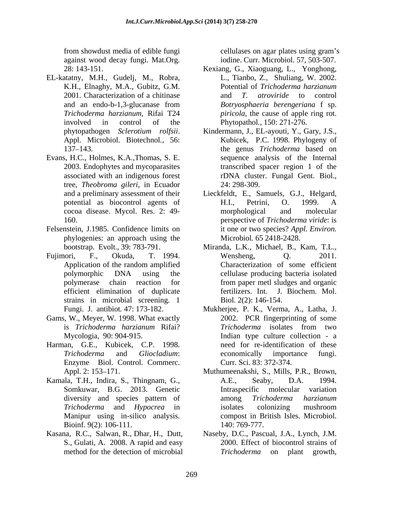against wood decay fungi. Mat.Org*.*

- EL-katatny, M.H., Gudelj, M., Robra,
- Evans, H.C., Holmes, K.A.,Thomas, S. E. 2003. Endophytes and mycoparasites tree, *Theobroma gileri*, in Ecuador
- Felsenstein, J.1985. Confidence limits on phylogenies: an approach using the
- Fujimori, F., Okuda, T. 1994. strains in microbial screening. 1
- Gams, W., Meyer, W. 1998. What exactly
- Harman, G.E., Kubicek, C.P. 1998. Enzyme Biol. Control. Commerc. Curr. Sci. 83: 372-374.<br>Appl. 2: 153–171. Muthumeenakshi, S., Mills, P.R., Brown,
- Kamala, T.H., Indira, S., Thingnam, G., A.E., Seaby, D.A. 1994. Manipur using in-silico analysis. Bioinf. 9(2): 106-111. 140: 769-777.
- Kasana, R.C., Salwan, R., Dhar, H., Dutt,

from showdust media of edible fungi cellulases on agar plates using gram's iodine. Curr. Microbiol. 57, 503-507.

- 28: 143-151. Kexiang, G., Xiaoguang, L., Yonghong, K.H., Elnaghy, M.A., Gubitz, G.M. Potential of Trichoderma harzianum 2001. Characterization of a chitinase  $\qquad$  and  $T$ . atroviride to control and an endo-b-1,3-glucanase from Botryosphaeria berengeriana f sp. *Trichoderma harzianum*, Rifai T24 *piricola*, the cause of apple ring rot. involved in control of the Phytopathol., 150: 271-276. L., Tianbo, Z., Shuliang, W. 2002. Potential of *Trichoderma harzianum* and *T. atroviride* to control *Botryosphaeria berengeriana* f sp. Phytopathol*.,* 150: 271-276.
- phytopathogen *Sclerotium rolfsii*. Kindermann, J., EL-ayouti, Y., Gary, J.S., Appl. Microbiol. Biotechnol., 56: Kubicek, P.C. 1998. Phylogeny of 137 143. the genus *Trichoderma* based on associated with an indigenous forest rDNA cluster. Fungal Gent. Biol., Kindermann, J., EL-ayouti, Y., Gary, J.S., Kubicek, P.C. 1998. Phylogeny of sequence analysis of the Internal transcribed spacer region 1 of the 24: 298-309.
- and a preliminary assessment of their Lieckfeldt, E., Samuels, G.J., Helgard, potential as biocontrol agents of H.I., Petrini, O. 1999. A cocoa disease. Mycol. Res. 2: 49- 160. perspective of *Trichoderma viride*: is H.I., Petrini, O. 1999. A morphological and molecular it one or two species? *Appl. Environ.* Microbiol*.* 65 2418-2428.
- bootstrap. Evolt.*,* 39: 783-791. Miranda, L.K., Michael, B., Kam, T.L., Application of the random amplified Characterization of some efficient polymorphic DNA using the cellulase producing bacteria isolated polymerase chain reaction for efficient elimination of duplicate fertilizers. Int. J. Biochem. Mol. Wensheng, Q. 2011. Characterization of some efficient from paper metl sludges and organic Biol*.* 2(2): 146-154.
- Fungi. J. antibiot*.* 47: 173-182. Mukherjee, P. K., Verma, A., Latha, J. is *Trichoderma harzianum* Rifai? Mycologia*,* 90: 904-915. Indian type culture collection - a *Trichoderma* and *Gliocladium*: economically importance fungi. 2002. PCR fingerprinting of some *Trichoderma* isolates from two need for re-identification of these Curr. Sci. 83: 372-374.
- Somkuwar, B.G. 2013. Genetic diversity and species pattern of among *Trichoderma hargianum Trichoderma* and *Hypocrea* in Muthumeenakshi, S., Mills, P.R., Brown, A.E., Seaby, D.A. 1994. Intraspecific molecular variation among *Trichoderma harzianum* isolates colonizing mushroom compost in British Isles. Microbiol. 140: 769-777.
- S., Gulati, A. 2008. A rapid and easy 2000. Effect of biocontrol strains of method for the detection of microbial *Trichoderma* on plant growth, Naseby, D.C., Pascual, J.A., Lynch, J.M. 2000. Effect of biocontrol strains of *Trichoderma* on plant growth,